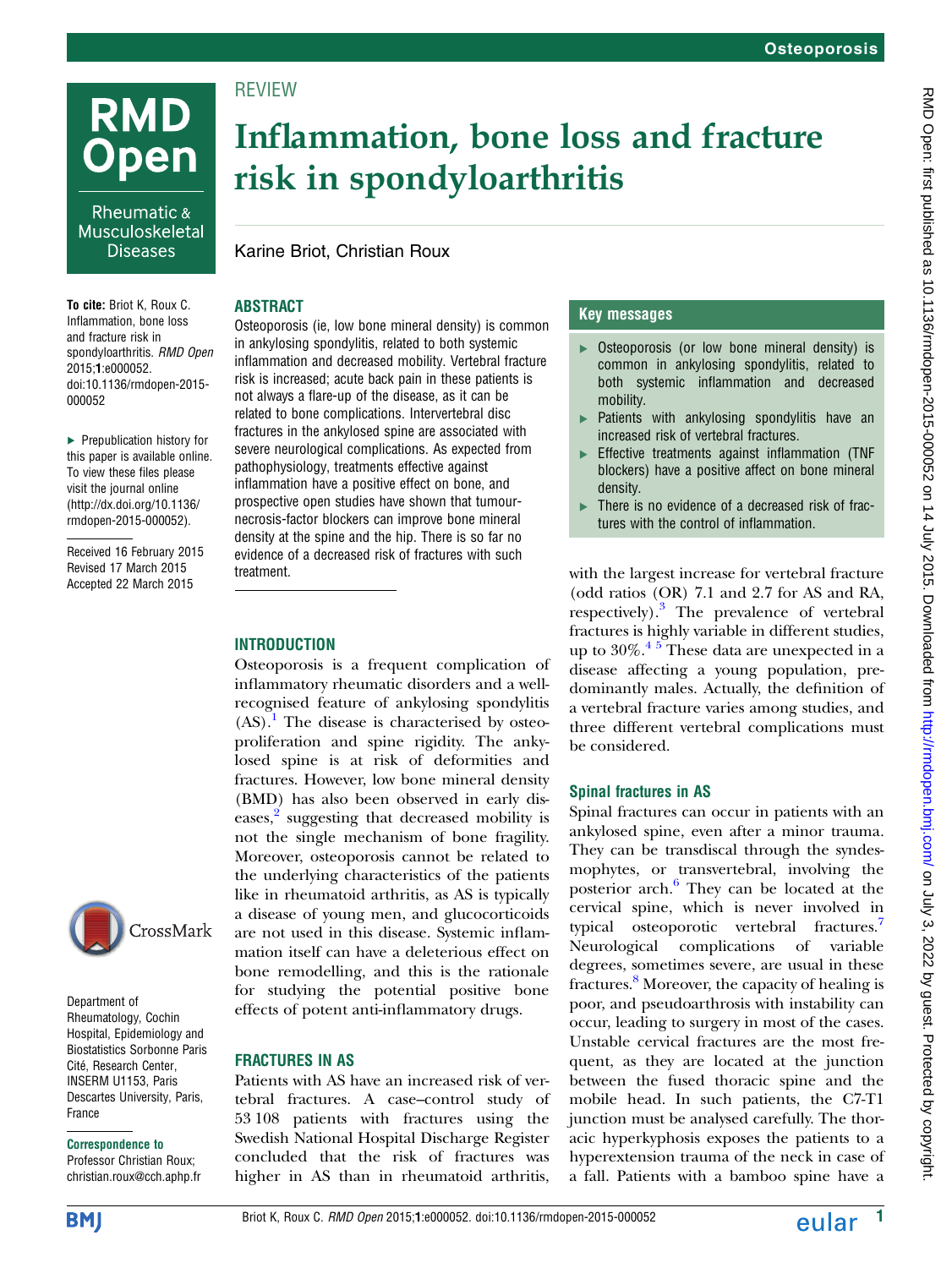# **RMD Open**

Rheumatic & Musculoskeletal **Diseases** 

To cite: Briot K, Roux C. Inflammation, bone loss and fracture risk in spondyloarthritis. RMD Open 2015;1:e000052. doi:10.1136/rmdopen-2015- 000052

▸ Prepublication history for this paper is available online. To view these files please visit the journal online [\(http://dx.doi.org/10.1136/](http://dx.doi.org/10.1136/rmdopen-2015-000052) [rmdopen-2015-000052](http://dx.doi.org/10.1136/rmdopen-2015-000052)).

Received 16 February 2015 Revised 17 March 2015 Accepted 22 March 2015



Department of Rheumatology, Cochin Hospital, Epidemiology and Biostatistics Sorbonne Paris Cité, Research Center, INSERM U1153, Paris Descartes University, Paris, France

#### Correspondence to

Professor Christian Roux; christian.roux@cch.aphp.fr

## Inflammation, bone loss and fracture risk in spondyloarthritis

#### Karine Briot, Christian Roux

#### ABSTRACT

**REVIEW** 

Osteoporosis (ie, low bone mineral density) is common in ankylosing spondylitis, related to both systemic inflammation and decreased mobility. Vertebral fracture risk is increased; acute back pain in these patients is not always a flare-up of the disease, as it can be related to bone complications. Intervertebral disc fractures in the ankylosed spine are associated with severe neurological complications. As expected from pathophysiology, treatments effective against inflammation have a positive effect on bone, and prospective open studies have shown that tumournecrosis-factor blockers can improve bone mineral density at the spine and the hip. There is so far no evidence of a decreased risk of fractures with such treatment.

#### **INTRODUCTION**

Osteoporosis is a frequent complication of inflammatory rheumatic disorders and a wellrecognised feature of ankylosing spondylitis  $(AS)$ .<sup>[1](#page-4-0)</sup> The disease is characterised by osteoproliferation and spine rigidity. The ankylosed spine is at risk of deformities and fractures. However, low bone mineral density (BMD) has also been observed in early dis-eases,<sup>[2](#page-4-0)</sup> suggesting that decreased mobility is not the single mechanism of bone fragility. Moreover, osteoporosis cannot be related to the underlying characteristics of the patients like in rheumatoid arthritis, as AS is typically a disease of young men, and glucocorticoids are not used in this disease. Systemic inflammation itself can have a deleterious effect on bone remodelling, and this is the rationale for studying the potential positive bone effects of potent anti-inflammatory drugs.

#### FRACTURES IN AS

Patients with AS have an increased risk of vertebral fractures. A case–control study of 53 108 patients with fractures using the Swedish National Hospital Discharge Register concluded that the risk of fractures was higher in AS than in rheumatoid arthritis,

#### Key messages

- ▸ Osteoporosis (or low bone mineral density) is common in ankylosing spondylitis, related to both systemic inflammation and decreased mobility.
- ▸ Patients with ankylosing spondylitis have an increased risk of vertebral fractures.
- ▸ Effective treatments against inflammation (TNF blockers) have a positive affect on bone mineral density.
- ▸ There is no evidence of a decreased risk of fractures with the control of inflammation.

with the largest increase for vertebral fracture (odd ratios (OR) 7.1 and 2.7 for AS and RA, respectively).[3](#page-4-0) The prevalence of vertebral fractures is highly variable in different studies, up to  $30\%$ .<sup>45</sup> These data are unexpected in a disease affecting a young population, predominantly males. Actually, the definition of a vertebral fracture varies among studies, and three different vertebral complications must be considered.

#### Spinal fractures in AS

Spinal fractures can occur in patients with an ankylosed spine, even after a minor trauma. They can be transdiscal through the syndesmophytes, or transvertebral, involving the posterior arch. $6$  They can be located at the cervical spine, which is never involved in typical osteoporotic vertebral fractures.<sup>[7](#page-4-0)</sup> Neurological complications of variable degrees, sometimes severe, are usual in these fractures. $\delta$  Moreover, the capacity of healing is poor, and pseudoarthrosis with instability can occur, leading to surgery in most of the cases. Unstable cervical fractures are the most frequent, as they are located at the junction between the fused thoracic spine and the mobile head. In such patients, the C7-T1 junction must be analysed carefully. The thoracic hyperkyphosis exposes the patients to a hyperextension trauma of the neck in case of a fall. Patients with a bamboo spine have a

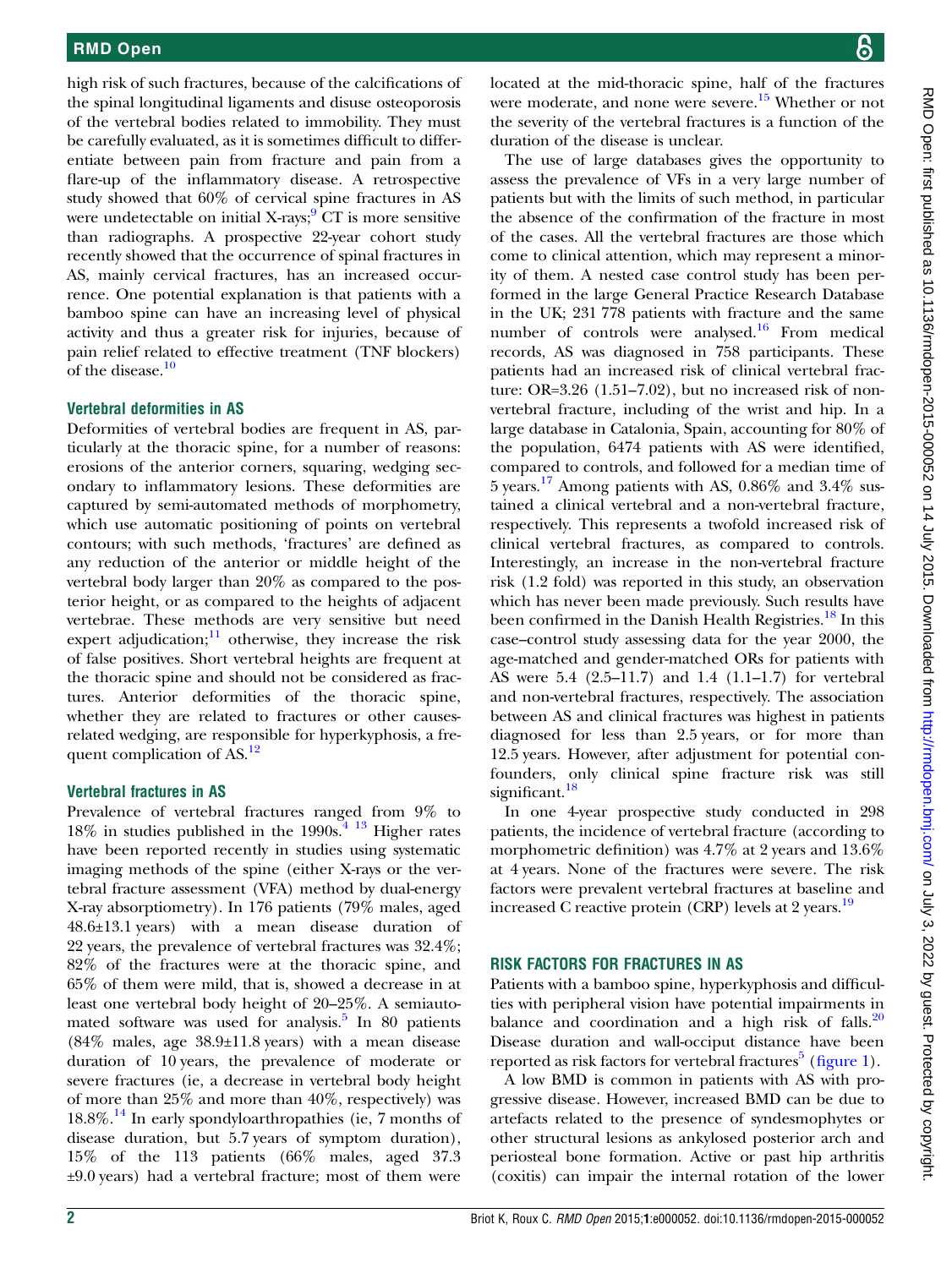high risk of such fractures, because of the calcifications of the spinal longitudinal ligaments and disuse osteoporosis of the vertebral bodies related to immobility. They must be carefully evaluated, as it is sometimes difficult to differentiate between pain from fracture and pain from a flare-up of the inflammatory disease. A retrospective study showed that 60% of cervical spine fractures in AS were undetectable on initial  $X$ -rays;  $\overline{C}$  CT is more sensitive than radiographs. A prospective 22-year cohort study recently showed that the occurrence of spinal fractures in AS, mainly cervical fractures, has an increased occurrence. One potential explanation is that patients with a bamboo spine can have an increasing level of physical activity and thus a greater risk for injuries, because of pain relief related to effective treatment (TNF blockers) of the disease.<sup>[10](#page-4-0)</sup>

#### Vertebral deformities in AS

Deformities of vertebral bodies are frequent in AS, particularly at the thoracic spine, for a number of reasons: erosions of the anterior corners, squaring, wedging secondary to inflammatory lesions. These deformities are captured by semi-automated methods of morphometry, which use automatic positioning of points on vertebral contours; with such methods, 'fractures' are defined as any reduction of the anterior or middle height of the vertebral body larger than 20% as compared to the posterior height, or as compared to the heights of adjacent vertebrae. These methods are very sensitive but need expert adjudication; $\frac{11}{11}$  $\frac{11}{11}$  $\frac{11}{11}$  otherwise, they increase the risk of false positives. Short vertebral heights are frequent at the thoracic spine and should not be considered as fractures. Anterior deformities of the thoracic spine, whether they are related to fractures or other causesrelated wedging, are responsible for hyperkyphosis, a fre-quent complication of AS.<sup>[12](#page-4-0)</sup>

#### Vertebral fractures in AS

Prevalence of vertebral fractures ranged from 9% to 18% in studies published in the  $1990s<sup>4</sup>$ <sup>13</sup> Higher rates have been reported recently in studies using systematic imaging methods of the spine (either X-rays or the vertebral fracture assessment (VFA) method by dual-energy X-ray absorptiometry). In 176 patients (79% males, aged 48.6±13.1 years) with a mean disease duration of 22 years, the prevalence of vertebral fractures was 32.4%; 82% of the fractures were at the thoracic spine, and 65% of them were mild, that is, showed a decrease in at least one vertebral body height of 20–25%. A semiautomated software was used for analysis. $5 \text{ In } 80 \text{ patients}$  $5 \text{ In } 80 \text{ patients}$  $(84\%$  males, age  $38.9\pm11.8$  years) with a mean disease duration of 10 years, the prevalence of moderate or severe fractures (ie, a decrease in vertebral body height of more than 25% and more than 40%, respectively) was 18.8%.[14](#page-4-0) In early spondyloarthropathies (ie, 7 months of disease duration, but 5.7 years of symptom duration), 15% of the 113 patients (66% males, aged 37.3 ±9.0 years) had a vertebral fracture; most of them were

located at the mid-thoracic spine, half of the fractures were moderate, and none were severe.<sup>15</sup> Whether or not the severity of the vertebral fractures is a function of the duration of the disease is unclear.

The use of large databases gives the opportunity to assess the prevalence of VFs in a very large number of patients but with the limits of such method, in particular the absence of the confirmation of the fracture in most of the cases. All the vertebral fractures are those which come to clinical attention, which may represent a minority of them. A nested case control study has been performed in the large General Practice Research Database in the UK; 231 778 patients with fracture and the same number of controls were analysed.<sup>[16](#page-4-0)</sup> From medical records, AS was diagnosed in 758 participants. These patients had an increased risk of clinical vertebral fracture: OR=3.26 (1.51–7.02), but no increased risk of nonvertebral fracture, including of the wrist and hip. In a large database in Catalonia, Spain, accounting for 80% of the population, 6474 patients with AS were identified, compared to controls, and followed for a median time of 5 years.[17](#page-4-0) Among patients with AS, 0.86% and 3.4% sustained a clinical vertebral and a non-vertebral fracture, respectively. This represents a twofold increased risk of clinical vertebral fractures, as compared to controls. Interestingly, an increase in the non-vertebral fracture risk (1.2 fold) was reported in this study, an observation which has never been made previously. Such results have been confirmed in the Danish Health Registries.<sup>[18](#page-4-0)</sup> In this case–control study assessing data for the year 2000, the age-matched and gender-matched ORs for patients with AS were 5.4 (2.5–11.7) and 1.4 (1.1–1.7) for vertebral and non-vertebral fractures, respectively. The association between AS and clinical fractures was highest in patients diagnosed for less than 2.5 years, or for more than 12.5 years. However, after adjustment for potential confounders, only clinical spine fracture risk was still significant.<sup>[18](#page-4-0)</sup>

In one 4-year prospective study conducted in 298 patients, the incidence of vertebral fracture (according to morphometric definition) was 4.7% at 2 years and 13.6% at 4 years. None of the fractures were severe. The risk factors were prevalent vertebral fractures at baseline and increased C reactive protein  $(CRP)$  levels at 2 years.<sup>[19](#page-4-0)</sup>

#### RISK FACTORS FOR FRACTURES IN AS

Patients with a bamboo spine, hyperkyphosis and difficulties with peripheral vision have potential impairments in balance and coordination and a high risk of falls. $20$ Disease duration and wall-occiput distance have been reported as risk factors for vertebral fractures $\delta$  (fi[gure 1](#page-2-0)).

A low BMD is common in patients with AS with progressive disease. However, increased BMD can be due to artefacts related to the presence of syndesmophytes or other structural lesions as ankylosed posterior arch and periosteal bone formation. Active or past hip arthritis (coxitis) can impair the internal rotation of the lower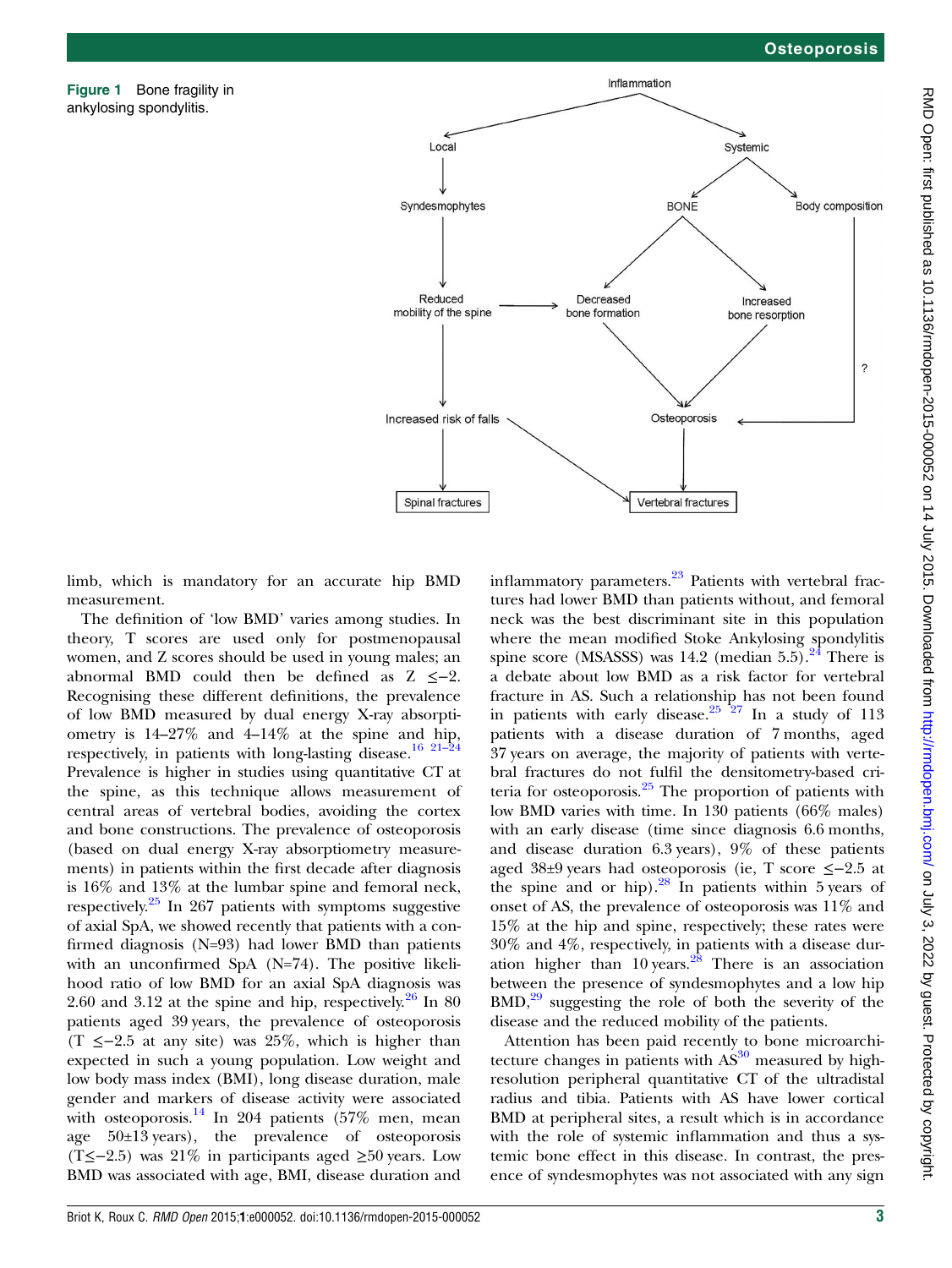<span id="page-2-0"></span>Figure 1 Bone fragility in ankylosing spondylitis.



limb, which is mandatory for an accurate hip BMD measurement.

The definition of 'low BMD' varies among studies. In theory, T scores are used only for postmenopausal women, and Z scores should be used in young males; an abnormal BMD could then be defined as Z ≤−2. Recognising these different definitions, the prevalence of low BMD measured by dual energy X-ray absorptiometry is 14–27% and 4–14% at the spine and hip, respectively, in patients with long-lasting disease.<sup>[16 21](#page-4-0)–24</sup> Prevalence is higher in studies using quantitative CT at the spine, as this technique allows measurement of central areas of vertebral bodies, avoiding the cortex and bone constructions. The prevalence of osteoporosis (based on dual energy X-ray absorptiometry measurements) in patients within the first decade after diagnosis is 16% and 13% at the lumbar spine and femoral neck, respectively.<sup>[25](#page-4-0)</sup> In 267 patients with symptoms suggestive of axial SpA, we showed recently that patients with a confirmed diagnosis (N=93) had lower BMD than patients with an unconfirmed SpA (N=74). The positive likelihood ratio of low BMD for an axial SpA diagnosis was 2.60 and 3.12 at the spine and hip, respectively.<sup>[26](#page-4-0)</sup> In 80 patients aged 39 years, the prevalence of osteoporosis (T ≤−2.5 at any site) was 25%, which is higher than expected in such a young population. Low weight and low body mass index (BMI), long disease duration, male gender and markers of disease activity were associated with osteoporosis. $^{14}$  $^{14}$  $^{14}$  In 204 patients (57% men, mean age 50±13 years), the prevalence of osteoporosis (T≤−2.5) was 21% in participants aged ≥50 years. Low BMD was associated with age, BMI, disease duration and inflammatory parameters. $23$  Patients with vertebral fractures had lower BMD than patients without, and femoral neck was the best discriminant site in this population where the mean modified Stoke Ankylosing spondylitis spine score (MSASSS) was 14.2 (median 5.5). $^{24}$  $^{24}$  $^{24}$  There is a debate about low BMD as a risk factor for vertebral fracture in AS. Such a relationship has not been found in patients with early disease. $25 \frac{25}{27}$  In a study of 113 patients with a disease duration of 7 months, aged 37 years on average, the majority of patients with vertebral fractures do not fulfil the densitometry-based criteria for osteoporosis. $2<sup>5</sup>$  The proportion of patients with low BMD varies with time. In 130 patients (66% males) with an early disease (time since diagnosis 6.6 months, and disease duration 6.3 years), 9% of these patients aged 38±9 years had osteoporosis (ie, T score ≤−2.5 at the spine and or hip). $28$  In patients within 5 years of onset of AS, the prevalence of osteoporosis was 11% and 15% at the hip and spine, respectively; these rates were 30% and 4%, respectively, in patients with a disease duration higher than  $10 \text{ years.}^{28}$  $10 \text{ years.}^{28}$  $10 \text{ years.}^{28}$  There is an association between the presence of syndesmophytes and a low hip  $BMD$ ,<sup>[29](#page-4-0)</sup> suggesting the role of both the severity of the disease and the reduced mobility of the patients.

Attention has been paid recently to bone microarchitecture changes in patients with  $AS^{30}$  $AS^{30}$  $AS^{30}$  measured by highresolution peripheral quantitative CT of the ultradistal radius and tibia. Patients with AS have lower cortical BMD at peripheral sites, a result which is in accordance with the role of systemic inflammation and thus a systemic bone effect in this disease. In contrast, the presence of syndesmophytes was not associated with any sign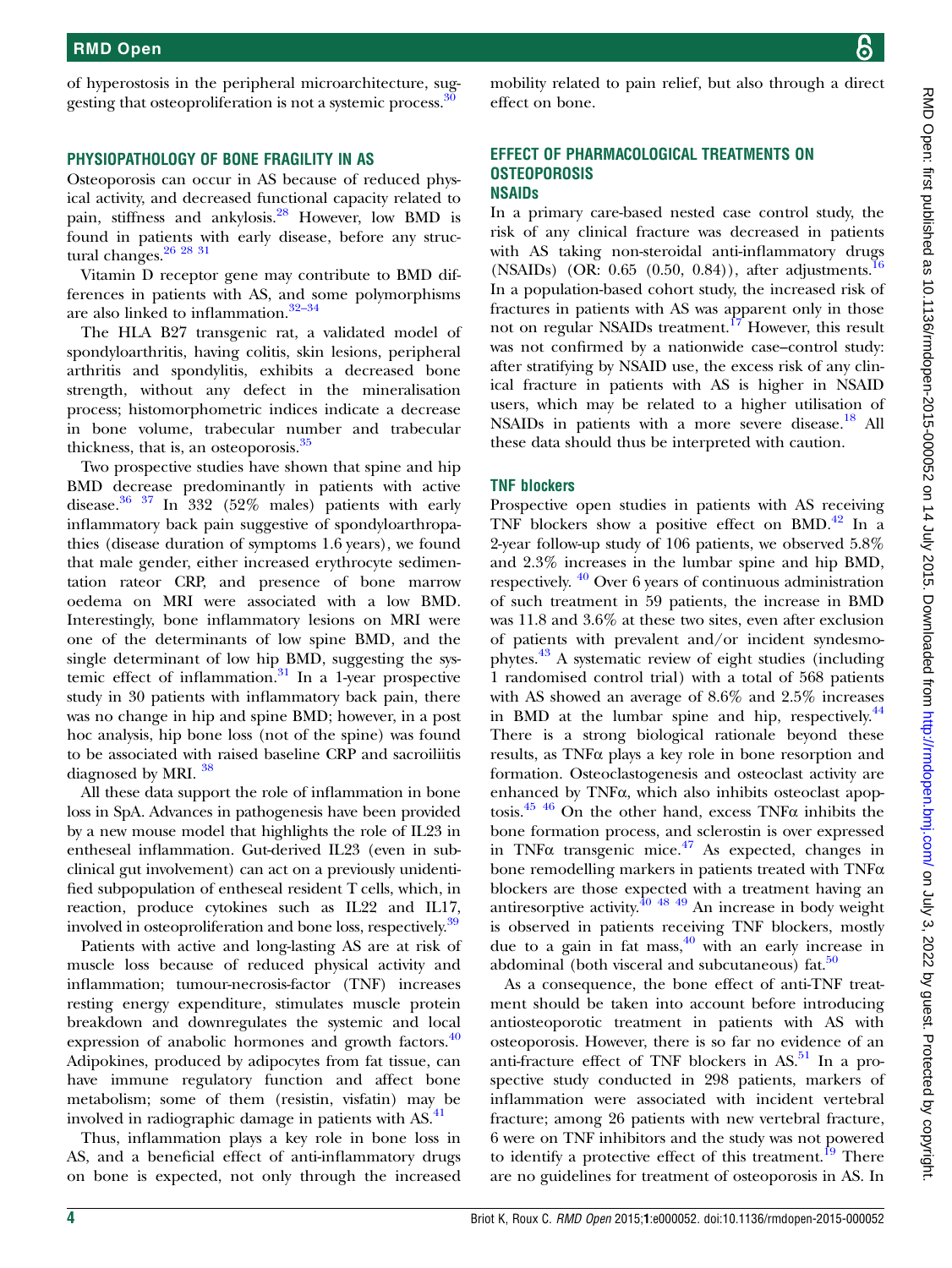of hyperostosis in the peripheral microarchitecture, sug-gesting that osteoproliferation is not a systemic process.<sup>[30](#page-4-0)</sup>

#### PHYSIOPATHOLOGY OF BONE FRAGILITY IN AS

Osteoporosis can occur in AS because of reduced physical activity, and decreased functional capacity related to pain, stiffness and ankylosis.[28](#page-4-0) However, low BMD is found in patients with early disease, before any structural changes.<sup>26</sup> <sup>28</sup> <sup>31</sup>

Vitamin D receptor gene may contribute to BMD differences in patients with AS, and some polymorphisms are also linked to inflammation.<sup>32–[34](#page-4-0)</sup>

The HLA B27 transgenic rat, a validated model of spondyloarthritis, having colitis, skin lesions, peripheral arthritis and spondylitis, exhibits a decreased bone strength, without any defect in the mineralisation process; histomorphometric indices indicate a decrease in bone volume, trabecular number and trabecular thickness, that is, an osteoporosis.[35](#page-4-0)

Two prospective studies have shown that spine and hip BMD decrease predominantly in patients with active disease. $36\frac{37}{1}$  In 332 (52% males) patients with early inflammatory back pain suggestive of spondyloarthropathies (disease duration of symptoms 1.6 years), we found that male gender, either increased erythrocyte sedimentation rateor CRP, and presence of bone marrow oedema on MRI were associated with a low BMD. Interestingly, bone inflammatory lesions on MRI were one of the determinants of low spine BMD, and the single determinant of low hip BMD, suggesting the systemic effect of inflammation. $31$  In a 1-year prospective study in 30 patients with inflammatory back pain, there was no change in hip and spine BMD; however, in a post hoc analysis, hip bone loss (not of the spine) was found to be associated with raised baseline CRP and sacroiliitis diagnosed by MRI.<sup>[38](#page-5-0)</sup>

All these data support the role of inflammation in bone loss in SpA. Advances in pathogenesis have been provided by a new mouse model that highlights the role of IL23 in entheseal inflammation. Gut-derived IL23 (even in subclinical gut involvement) can act on a previously unidentified subpopulation of entheseal resident T cells, which, in reaction, produce cytokines such as IL22 and IL17, involved in osteoproliferation and bone loss, respectively.<sup>[39](#page-5-0)</sup>

Patients with active and long-lasting AS are at risk of muscle loss because of reduced physical activity and inflammation; tumour-necrosis-factor (TNF) increases resting energy expenditure, stimulates muscle protein breakdown and downregulates the systemic and local expression of anabolic hormones and growth factors.<sup>[40](#page-5-0)</sup> Adipokines, produced by adipocytes from fat tissue, can have immune regulatory function and affect bone metabolism; some of them (resistin, visfatin) may be involved in radiographic damage in patients with AS.<sup>[41](#page-5-0)</sup>

Thus, inflammation plays a key role in bone loss in AS, and a beneficial effect of anti-inflammatory drugs on bone is expected, not only through the increased

mobility related to pain relief, but also through a direct effect on bone.

#### EFFECT OF PHARMACOLOGICAL TREATMENTS ON **OSTEOPOROSIS** NSAIDs

In a primary care-based nested case control study, the risk of any clinical fracture was decreased in patients with AS taking non-steroidal anti-inflammatory drugs (NSAIDs) (OR:  $0.65$   $(0.50, 0.84)$ ), after adjustments.<sup>1</sup> In a population-based cohort study, the increased risk of fractures in patients with AS was apparent only in those not on regular NSAIDs treatment.<sup>[17](#page-4-0)</sup> However, this result was not confirmed by a nationwide case–control study: after stratifying by NSAID use, the excess risk of any clinical fracture in patients with AS is higher in NSAID users, which may be related to a higher utilisation of NSAIDs in patients with a more severe disease.<sup>[18](#page-4-0)</sup> All these data should thus be interpreted with caution.

#### TNF blockers

Prospective open studies in patients with AS receiving TNF blockers show a positive effect on BMD. $42$  In a 2-year follow-up study of 106 patients, we observed 5.8% and 2.3% increases in the lumbar spine and hip BMD, respectively. [40](#page-5-0) Over 6 years of continuous administration of such treatment in 59 patients, the increase in BMD was 11.8 and 3.6% at these two sites, even after exclusion of patients with prevalent and/or incident syndesmophytes.[43](#page-5-0) A systematic review of eight studies (including 1 randomised control trial) with a total of 568 patients with AS showed an average of 8.6% and 2.5% increases in BMD at the lumbar spine and hip, respectively.<sup>[44](#page-5-0)</sup> There is a strong biological rationale beyond these results, as TNFα plays a key role in bone resorption and formation. Osteoclastogenesis and osteoclast activity are enhanced by TNFα, which also inhibits osteoclast apop-tosis.<sup>[45 46](#page-5-0)</sup> On the other hand, excess TNF $\alpha$  inhibits the bone formation process, and sclerostin is over expressed in TNF $\alpha$  transgenic mice.<sup>[47](#page-5-0)</sup> As expected, changes in bone remodelling markers in patients treated with  $TNF\alpha$ blockers are those expected with a treatment having an antiresorptive activity.  $\frac{40 \times 49}{48 \times 49}$  An increase in body weight is observed in patients receiving TNF blockers, mostly due to a gain in fat mass,  $\frac{40}{10}$  with an early increase in abdominal (both visceral and subcutaneous)  $fat.^{50}$  $fat.^{50}$  $fat.^{50}$ 

As a consequence, the bone effect of anti-TNF treatment should be taken into account before introducing antiosteoporotic treatment in patients with AS with osteoporosis. However, there is so far no evidence of an anti-fracture effect of TNF blockers in  $AS$ <sup>[51](#page-5-0)</sup>. In a prospective study conducted in 298 patients, markers of inflammation were associated with incident vertebral fracture; among 26 patients with new vertebral fracture, 6 were on TNF inhibitors and the study was not powered to identify a protective effect of this treatment.<sup>[19](#page-4-0)</sup> There are no guidelines for treatment of osteoporosis in AS. In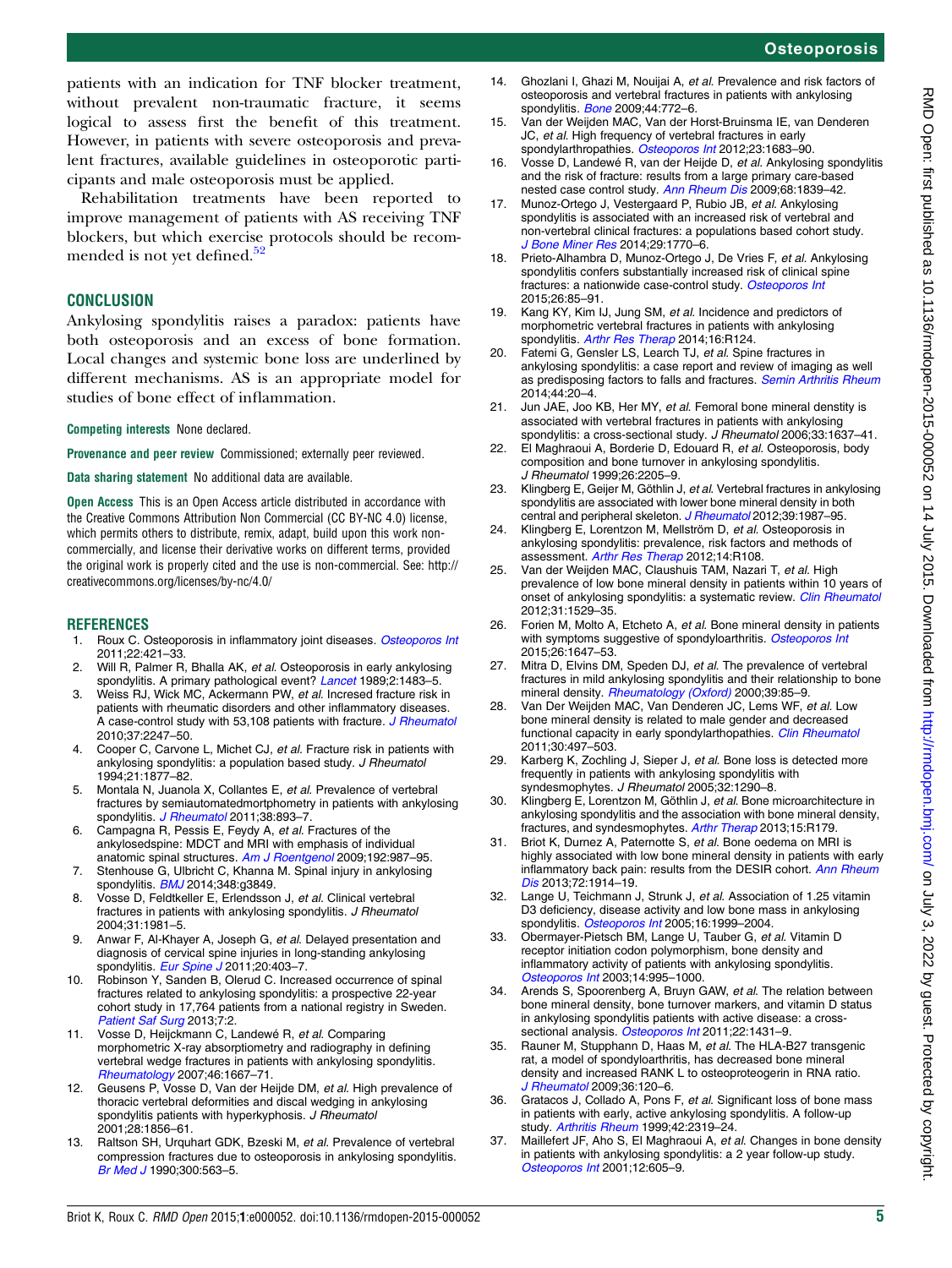Osteoporosis

<span id="page-4-0"></span>patients with an indication for TNF blocker treatment, without prevalent non-traumatic fracture, it seems logical to assess first the benefit of this treatment. However, in patients with severe osteoporosis and prevalent fractures, available guidelines in osteoporotic participants and male osteoporosis must be applied.

Rehabilitation treatments have been reported to improve management of patients with AS receiving TNF blockers, but which exercise protocols should be recom-mended is not yet defined.<sup>[52](#page-5-0)</sup>

#### **CONCLUSION**

Ankylosing spondylitis raises a paradox: patients have both osteoporosis and an excess of bone formation. Local changes and systemic bone loss are underlined by different mechanisms. AS is an appropriate model for studies of bone effect of inflammation.

Competing interests None declared.

Provenance and peer review Commissioned; externally peer reviewed.

Data sharing statement No additional data are available.

Open Access This is an Open Access article distributed in accordance with the Creative Commons Attribution Non Commercial (CC BY-NC 4.0) license, which permits others to distribute, remix, adapt, build upon this work noncommercially, and license their derivative works on different terms, provided the original work is properly cited and the use is non-commercial. See: [http://](http://creativecommons.org/licenses/by-nc/4.0/) [creativecommons.org/licenses/by-nc/4.0/](http://creativecommons.org/licenses/by-nc/4.0/)

#### **REFERENCES**

- 1. Roux C. Osteoporosis in inflammatory joint diseases. [Osteoporos Int](http://dx.doi.org/10.1007/s00198-010-1319-x) 2011;22:421–33.
- Will R, Palmer R, Bhalla AK, et al. Osteoporosis in early ankylosing spondylitis. A primary pathological event? [Lancet](http://dx.doi.org/10.1016/S0140-6736(89)92932-2) 1989;2:1483-5.
- 3. Weiss RJ, Wick MC, Ackermann PW, et al. Incresed fracture risk in patients with rheumatic disorders and other inflammatory diseases. A case-control study with 53,108 patients with fracture. [J Rheumatol](http://dx.doi.org/10.3899/jrheum.100363) 2010;37:2247–50.
- 4. Cooper C, Carvone L, Michet CJ, et al. Fracture risk in patients with ankylosing spondylitis: a population based study. J Rheumatol 1994;21:1877–82.
- 5. Montala N, Juanola X, Collantes E, et al. Prevalence of vertebral fractures by semiautomatedmortphometry in patients with ankylosing spondylitis. [J Rheumatol](http://dx.doi.org/10.3899/jrheum.100851) 2011;38:893-7.
- 6. Campagna R, Pessis E, Feydy A, et al. Fractures of the ankylosedspine: MDCT and MRI with emphasis of individual anatomic spinal structures. [Am J Roentgenol](http://dx.doi.org/10.2214/AJR.08.1616) 2009;192:987-95.
- 7. Stenhouse G, Ulbricht C, Khanna M. Spinal injury in ankylosing spondylitis. [BMJ](http://dx.doi.org/10.1136/bmj.g3849) 2014;348:g3849.
- 8. Vosse D, Feldtkeller E, Erlendsson J, et al. Clinical vertebral fractures in patients with ankylosing spondylitis. J Rheumatol 2004;31:1981–5.
- 9. Anwar F, Al-Khayer A, Joseph G, et al. Delayed presentation and diagnosis of cervical spine injuries in long-standing ankylosing spondylitis. [Eur Spine J](http://dx.doi.org/10.1007/s00586-010-1628-y) 2011;20:403-7.
- 10. Robinson Y, Sanden B, Olerud C. Increased occurrence of spinal fractures related to ankylosing spondylitis: a prospective 22-year cohort study in 17,764 patients from a national registry in Sweden. [Patient Saf Surg](http://dx.doi.org/10.1186/1754-9493-7-2) 2013;7:2.
- 11. Vosse D, Heijckmann C, Landewé R, et al. Comparing morphometric X-ray absorptiometry and radiography in defining vertebral wedge fractures in patients with ankylosing spondylitis. [Rheumatology](http://dx.doi.org/10.1093/rheumatology/kem135) 2007;46:1667–71.
- 12. Geusens P, Vosse D, Van der Heijde DM, et al. High prevalence of thoracic vertebral deformities and discal wedging in ankylosing spondylitis patients with hyperkyphosis. J Rheumatol 2001;28:1856–61.
- 13. Raltson SH, Urquhart GDK, Bzeski M, et al. Prevalence of vertebral compression fractures due to osteoporosis in ankylosing spondylitis. [Br Med J](http://dx.doi.org/10.1136/bmj.300.6724.563) 1990;300:563–5.
- 14. Ghozlani I, Ghazi M, Nouijai A, et al. Prevalence and risk factors of osteoporosis and vertebral fractures in patients with ankylosing spondylitis. [Bone](http://dx.doi.org/10.1016/j.bone.2008.12.028) 2009;44:772-6.
- 15. Van der Weijden MAC, Van der Horst-Bruinsma IE, van Denderen JC, et al. High frequency of vertebral fractures in early spondylarthropathies. [Osteoporos Int](http://dx.doi.org/10.1007/s00198-011-1766-z) 2012;23:1683-90.
- 16. Vosse D, Landewé R, van der Heijde D, et al. Ankylosing spondylitis and the risk of fracture: results from a large primary care-based nested case control study. [Ann Rheum Dis](http://dx.doi.org/10.1136/ard.2008.100503) 2009;68:1839–42.
- 17. Munoz-Ortego J, Vestergaard P, Rubio JB, et al. Ankylosing spondylitis is associated with an increased risk of vertebral and non-vertebral clinical fractures: a populations based cohort study. [J Bone Miner Res](http://dx.doi.org/10.1002/jbmr.2217) 2014;29:1770-6.
- 18. Prieto-Alhambra D, Munoz-Ortego J, De Vries F, et al. Ankylosing spondylitis confers substantially increased risk of clinical spine fractures: a nationwide case-control study. [Osteoporos Int](http://dx.doi.org/10.1007/s00198-014-2939-3) 2015;26:85–91.
- 19. Kang KY, Kim IJ, Jung SM, et al. Incidence and predictors of morphometric vertebral fractures in patients with ankylosing spondylitis. [Arthr Res Therap](http://dx.doi.org/10.1186/ar4581) 2014;16:R124.
- 20. Fatemi G, Gensler LS, Learch TJ, et al. Spine fractures in ankylosing spondylitis: a case report and review of imaging as well as predisposing factors to falls and fractures. [Semin Arthritis Rheum](http://dx.doi.org/10.1016/j.semarthrit.2014.03.007) 2014;44:20–4.
- 21. Jun JAE, Joo KB, Her MY, et al. Femoral bone mineral denstity is associated with vertebral fractures in patients with ankylosing spondylitis: a cross-sectional study. J Rheumatol 2006;33:1637-41.
- 22. El Maghraoui A, Borderie D, Edouard R, et al. Osteoporosis, body composition and bone turnover in ankylosing spondylitis. J Rheumatol 1999;26:2205–9.
- 23. Klingberg E, Geijer M, Göthlin J, et al. Vertebral fractures in ankylosing spondylitis are associated with lower bone mineral density in both central and peripheral skeleton. [J Rheumatol](http://dx.doi.org/10.3899/jrheum.120316) 2012:39:1987-95.
- 24. Klingberg E, Lorentzon M, Mellström D, et al. Osteoporosis in ankylosing spondylitis: prevalence, risk factors and methods of assessment. [Arthr Res Therap](http://dx.doi.org/10.1186/ar3833) 2012;14:R108.
- 25. Van der Weijden MAC, Claushuis TAM, Nazari T, et al. High prevalence of low bone mineral density in patients within 10 years of onset of ankylosing spondylitis: a systematic review. [Clin Rheumatol](http://dx.doi.org/10.1007/s10067-012-2018-0) 2012;31:1529–35.
- 26. Forien M, Molto A, Etcheto A, et al. Bone mineral density in patients with symptoms suggestive of spondyloarthritis. [Osteoporos Int](http://dx.doi.org/10.1007/s00198-015-3044-y) 2015;26:1647–53.
- 27. Mitra D, Elvins DM, Speden DJ, et al. The prevalence of vertebral fractures in mild ankylosing spondylitis and their relationship to bone mineral density. [Rheumatology \(Oxford\)](http://dx.doi.org/10.1093/rheumatology/39.1.85) 2000;39:85-9.
- Van Der Weijden MAC, Van Denderen JC, Lems WF, et al. Low bone mineral density is related to male gender and decreased functional capacity in early spondylarthopathies. [Clin Rheumatol](http://dx.doi.org/10.1007/s10067-010-1538-8) 2011;30:497–503.
- 29. Karberg K, Zochling J, Sieper J, et al. Bone loss is detected more frequently in patients with ankylosing spondylitis with syndesmophytes. J Rheumatol 2005;32:1290–8.
- 30. Klingberg E, Lorentzon M, Göthlin J, et al. Bone microarchitecture in ankylosing spondylitis and the association with bone mineral density, fractures, and syndesmophytes. [Arthr Therap](http://dx.doi.org/10.1186/ar4368) 2013;15:R179.
- 31. Briot K, Durnez A, Paternotte S, et al. Bone oedema on MRI is highly associated with low bone mineral density in patients with early inflammatory back pain: results from the DESIR cohort. [Ann Rheum](http://dx.doi.org/10.1136/annrheumdis-2012-201845) [Dis](http://dx.doi.org/10.1136/annrheumdis-2012-201845) 2013;72:1914–19.
- 32. Lange U, Teichmann J, Strunk J, et al. Association of 1.25 vitamin D3 deficiency, disease activity and low bone mass in ankylosing spondylitis. [Osteoporos Int](http://dx.doi.org/10.1007/s00198-005-1990-5) 2005;16:1999-2004.
- 33. Obermayer-Pietsch BM, Lange U, Tauber G, et al. Vitamin D receptor initiation codon polymorphism, bone density and inflammatory activity of patients with ankylosing spondylitis. [Osteoporos Int](http://dx.doi.org/10.1007/s00198-003-1501-5) 2003;14:995–1000.
- 34. Arends S, Spoorenberg A, Bruyn GAW, et al. The relation between bone mineral density, bone turnover markers, and vitamin D status in ankylosing spondylitis patients with active disease: a cross-sectional analysis. [Osteoporos Int](http://dx.doi.org/10.1007/s00198-010-1338-7) 2011;22:1431-9.
- 35. Rauner M, Stupphann D, Haas M, et al. The HLA-B27 transgenic rat, a model of spondyloarthritis, has decreased bone mineral density and increased RANK L to osteoproteogerin in RNA ratio. [J Rheumatol](http://dx.doi.org/10.3899/jrheum.080475) 2009;36:120–6.
- 36. Gratacos J, Collado A, Pons F, et al. Significant loss of bone mass in patients with early, active ankylosing spondylitis. A follow-up study. [Arthritis Rheum](http://dx.doi.org/10.1002/1529-0131(199911)42:11<2319::AID-ANR9>3.0.CO;2-G) 1999;42:2319–24.
- 37. Maillefert JF, Aho S, El Maghraoui A, et al. Changes in bone density in patients with ankylosing spondylitis: a 2 year follow-up study. [Osteoporos Int](http://dx.doi.org/10.1007/s001980170084) 2001;12:605–9.